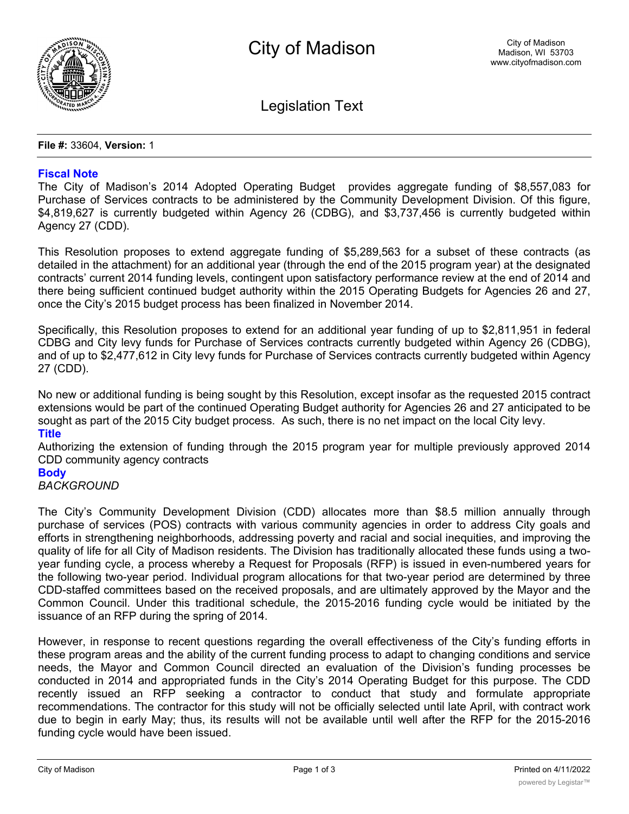

Legislation Text

**File #:** 33604, **Version:** 1

### **Fiscal Note**

The City of Madison's 2014 Adopted Operating Budget provides aggregate funding of \$8,557,083 for Purchase of Services contracts to be administered by the Community Development Division. Of this figure, \$4,819,627 is currently budgeted within Agency 26 (CDBG), and \$3,737,456 is currently budgeted within Agency 27 (CDD).

This Resolution proposes to extend aggregate funding of \$5,289,563 for a subset of these contracts (as detailed in the attachment) for an additional year (through the end of the 2015 program year) at the designated contracts' current 2014 funding levels, contingent upon satisfactory performance review at the end of 2014 and there being sufficient continued budget authority within the 2015 Operating Budgets for Agencies 26 and 27, once the City's 2015 budget process has been finalized in November 2014.

Specifically, this Resolution proposes to extend for an additional year funding of up to \$2,811,951 in federal CDBG and City levy funds for Purchase of Services contracts currently budgeted within Agency 26 (CDBG), and of up to \$2,477,612 in City levy funds for Purchase of Services contracts currently budgeted within Agency 27 (CDD).

No new or additional funding is being sought by this Resolution, except insofar as the requested 2015 contract extensions would be part of the continued Operating Budget authority for Agencies 26 and 27 anticipated to be sought as part of the 2015 City budget process. As such, there is no net impact on the local City levy.

## **Title**

Authorizing the extension of funding through the 2015 program year for multiple previously approved 2014 CDD community agency contracts

# **Body**

# *BACKGROUND*

The City's Community Development Division (CDD) allocates more than \$8.5 million annually through purchase of services (POS) contracts with various community agencies in order to address City goals and efforts in strengthening neighborhoods, addressing poverty and racial and social inequities, and improving the quality of life for all City of Madison residents. The Division has traditionally allocated these funds using a twoyear funding cycle, a process whereby a Request for Proposals (RFP) is issued in even-numbered years for the following two-year period. Individual program allocations for that two-year period are determined by three CDD-staffed committees based on the received proposals, and are ultimately approved by the Mayor and the Common Council. Under this traditional schedule, the 2015-2016 funding cycle would be initiated by the issuance of an RFP during the spring of 2014.

However, in response to recent questions regarding the overall effectiveness of the City's funding efforts in these program areas and the ability of the current funding process to adapt to changing conditions and service needs, the Mayor and Common Council directed an evaluation of the Division's funding processes be conducted in 2014 and appropriated funds in the City's 2014 Operating Budget for this purpose. The CDD recently issued an RFP seeking a contractor to conduct that study and formulate appropriate recommendations. The contractor for this study will not be officially selected until late April, with contract work due to begin in early May; thus, its results will not be available until well after the RFP for the 2015-2016 funding cycle would have been issued.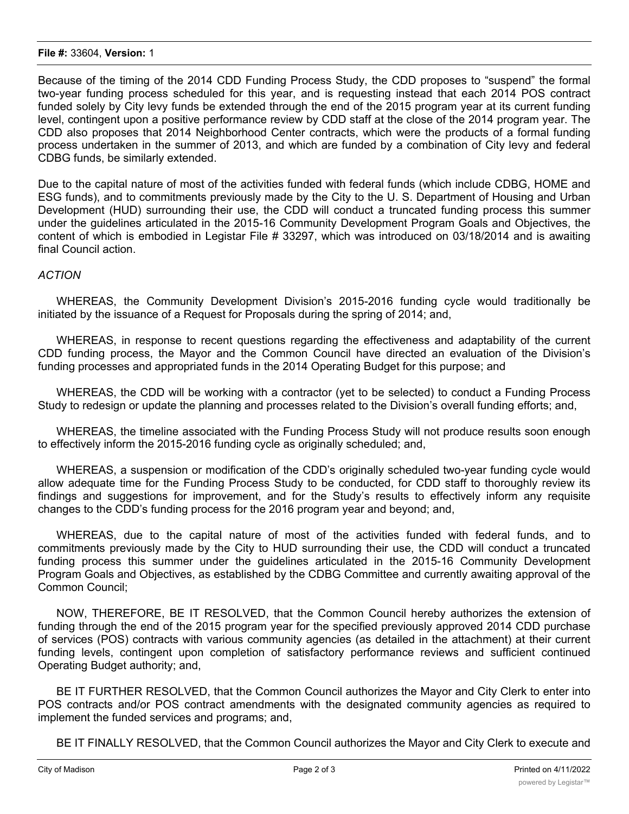#### **File #:** 33604, **Version:** 1

Because of the timing of the 2014 CDD Funding Process Study, the CDD proposes to "suspend" the formal two-year funding process scheduled for this year, and is requesting instead that each 2014 POS contract funded solely by City levy funds be extended through the end of the 2015 program year at its current funding level, contingent upon a positive performance review by CDD staff at the close of the 2014 program year. The CDD also proposes that 2014 Neighborhood Center contracts, which were the products of a formal funding process undertaken in the summer of 2013, and which are funded by a combination of City levy and federal CDBG funds, be similarly extended.

Due to the capital nature of most of the activities funded with federal funds (which include CDBG, HOME and ESG funds), and to commitments previously made by the City to the U. S. Department of Housing and Urban Development (HUD) surrounding their use, the CDD will conduct a truncated funding process this summer under the guidelines articulated in the 2015-16 Community Development Program Goals and Objectives, the content of which is embodied in Legistar File # 33297, which was introduced on 03/18/2014 and is awaiting final Council action.

# *ACTION*

WHEREAS, the Community Development Division's 2015-2016 funding cycle would traditionally be initiated by the issuance of a Request for Proposals during the spring of 2014; and,

WHEREAS, in response to recent questions regarding the effectiveness and adaptability of the current CDD funding process, the Mayor and the Common Council have directed an evaluation of the Division's funding processes and appropriated funds in the 2014 Operating Budget for this purpose; and

WHEREAS, the CDD will be working with a contractor (yet to be selected) to conduct a Funding Process Study to redesign or update the planning and processes related to the Division's overall funding efforts; and,

WHEREAS, the timeline associated with the Funding Process Study will not produce results soon enough to effectively inform the 2015-2016 funding cycle as originally scheduled; and,

WHEREAS, a suspension or modification of the CDD's originally scheduled two-year funding cycle would allow adequate time for the Funding Process Study to be conducted, for CDD staff to thoroughly review its findings and suggestions for improvement, and for the Study's results to effectively inform any requisite changes to the CDD's funding process for the 2016 program year and beyond; and,

WHEREAS, due to the capital nature of most of the activities funded with federal funds, and to commitments previously made by the City to HUD surrounding their use, the CDD will conduct a truncated funding process this summer under the guidelines articulated in the 2015-16 Community Development Program Goals and Objectives, as established by the CDBG Committee and currently awaiting approval of the Common Council;

NOW, THEREFORE, BE IT RESOLVED, that the Common Council hereby authorizes the extension of funding through the end of the 2015 program year for the specified previously approved 2014 CDD purchase of services (POS) contracts with various community agencies (as detailed in the attachment) at their current funding levels, contingent upon completion of satisfactory performance reviews and sufficient continued Operating Budget authority; and,

BE IT FURTHER RESOLVED, that the Common Council authorizes the Mayor and City Clerk to enter into POS contracts and/or POS contract amendments with the designated community agencies as required to implement the funded services and programs; and,

BE IT FINALLY RESOLVED, that the Common Council authorizes the Mayor and City Clerk to execute and